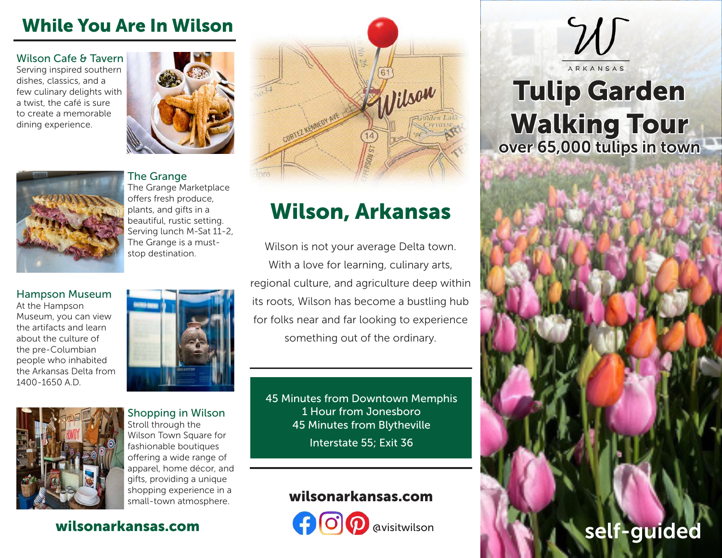### While You Are In Wilson

#### Wilson Cafe & Tavern

Serving inspired southern dishes, classics, and a few culinary delights with a twist, the café is sure to create a memorable dining experience.





### The Grange

The Grange Marketplace offers fresh produce, plants, and gifts in a beautiful, rustic setting. Serving lunch M-Sat 11-2, The Grange is a muststop destination.

#### Hampson Museum At the Hampson Museum, you can view

the artifacts and learn about the culture of the pre-Columbian people who inhabited the Arkansas Delta from 1400-1650 A.D.





Shopping in Wilson Stroll through the Wilson Town Square for fashionable boutiques offering a wide range of apparel, home décor, and gifts, providing a unique shopping experience in a small-town atmosphere.

### wilsonarkansas.com



# Wilson, Arkansas

Wilson is not your average Delta town. With a love for learning, culinary arts, regional culture, and agriculture deep within its roots, Wilson has become a bustling hub for folks near and far looking to experience something out of the ordinary.

45 Minutes from Downtown Memphis 1 Hour from Jonesboro 45 Minutes from Blytheville

Interstate 55; Exit 36

### wilsonarkansas.com



# **Tulip Garden** Walking Tour over 65,000 tulips in town